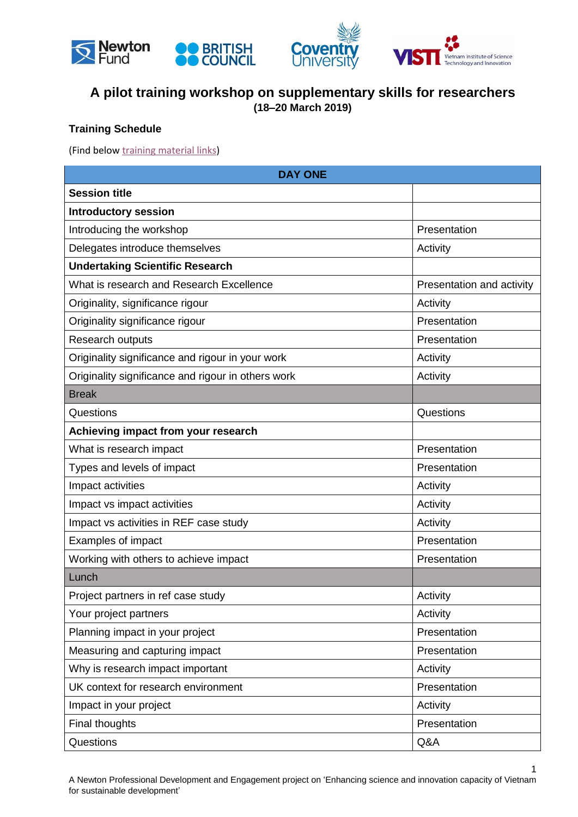



## **A pilot training workshop on supplementary skills for researchers (18–20 March 2019)**

## **Training Schedule**

(Find below training [material](#page-3-0) links)

| <b>DAY ONE</b>                                     |                           |  |
|----------------------------------------------------|---------------------------|--|
| <b>Session title</b>                               |                           |  |
| <b>Introductory session</b>                        |                           |  |
| Introducing the workshop                           | Presentation              |  |
| Delegates introduce themselves                     | Activity                  |  |
| <b>Undertaking Scientific Research</b>             |                           |  |
| What is research and Research Excellence           | Presentation and activity |  |
| Originality, significance rigour                   | Activity                  |  |
| Originality significance rigour                    | Presentation              |  |
| Research outputs                                   | Presentation              |  |
| Originality significance and rigour in your work   | Activity                  |  |
| Originality significance and rigour in others work | Activity                  |  |
| <b>Break</b>                                       |                           |  |
| Questions                                          | Questions                 |  |
| Achieving impact from your research                |                           |  |
| What is research impact                            | Presentation              |  |
| Types and levels of impact                         | Presentation              |  |
| Impact activities                                  | Activity                  |  |
| Impact vs impact activities                        | Activity                  |  |
| Impact vs activities in REF case study             | Activity                  |  |
| Examples of impact                                 | Presentation              |  |
| Working with others to achieve impact              | Presentation              |  |
| Lunch                                              |                           |  |
| Project partners in ref case study                 | Activity                  |  |
| Your project partners                              | Activity                  |  |
| Planning impact in your project                    | Presentation              |  |
| Measuring and capturing impact                     | Presentation              |  |
| Why is research impact important                   | Activity                  |  |
| UK context for research environment                | Presentation              |  |
| Impact in your project                             | Activity                  |  |
| Final thoughts                                     | Presentation              |  |
| Questions                                          | Q&A                       |  |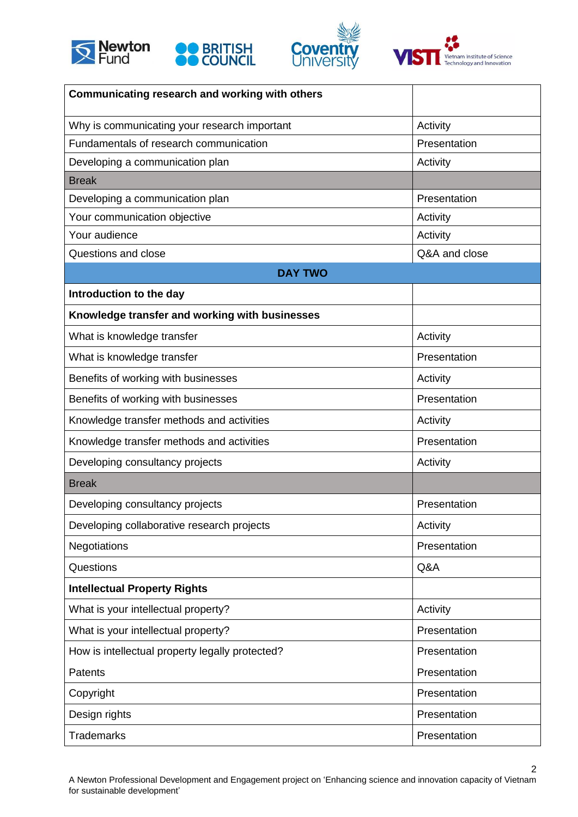







| Communicating research and working with others  |               |
|-------------------------------------------------|---------------|
| Why is communicating your research important    | Activity      |
| Fundamentals of research communication          | Presentation  |
| Developing a communication plan                 | Activity      |
| <b>Break</b>                                    |               |
| Developing a communication plan                 | Presentation  |
| Your communication objective                    | Activity      |
| Your audience                                   | Activity      |
| Questions and close                             | Q&A and close |
| <b>DAY TWO</b>                                  |               |
| Introduction to the day                         |               |
| Knowledge transfer and working with businesses  |               |
| What is knowledge transfer                      | Activity      |
| What is knowledge transfer                      | Presentation  |
| Benefits of working with businesses             | Activity      |
| Benefits of working with businesses             | Presentation  |
| Knowledge transfer methods and activities       | Activity      |
| Knowledge transfer methods and activities       | Presentation  |
| Developing consultancy projects                 | Activity      |
| <b>Break</b>                                    |               |
| Developing consultancy projects                 | Presentation  |
| Developing collaborative research projects      | Activity      |
| <b>Negotiations</b>                             | Presentation  |
| Questions                                       | Q&A           |
| <b>Intellectual Property Rights</b>             |               |
| What is your intellectual property?             | Activity      |
| What is your intellectual property?             | Presentation  |
| How is intellectual property legally protected? | Presentation  |
| Patents                                         | Presentation  |
| Copyright                                       | Presentation  |
| Design rights                                   | Presentation  |
| <b>Trademarks</b>                               | Presentation  |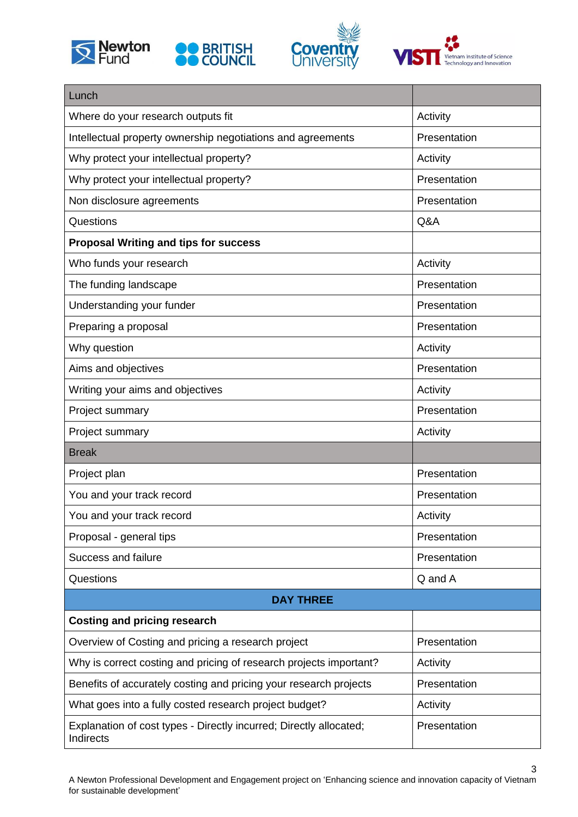







| Lunch                                                                           |              |  |
|---------------------------------------------------------------------------------|--------------|--|
| Where do your research outputs fit                                              | Activity     |  |
| Intellectual property ownership negotiations and agreements                     | Presentation |  |
| Why protect your intellectual property?                                         | Activity     |  |
| Why protect your intellectual property?                                         | Presentation |  |
| Non disclosure agreements                                                       | Presentation |  |
| Questions                                                                       | Q&A          |  |
| <b>Proposal Writing and tips for success</b>                                    |              |  |
| Who funds your research                                                         | Activity     |  |
| The funding landscape                                                           | Presentation |  |
| Understanding your funder                                                       | Presentation |  |
| Preparing a proposal                                                            | Presentation |  |
| Why question                                                                    | Activity     |  |
| Aims and objectives                                                             | Presentation |  |
| Writing your aims and objectives                                                | Activity     |  |
| Project summary                                                                 | Presentation |  |
| Project summary                                                                 | Activity     |  |
| <b>Break</b>                                                                    |              |  |
| Project plan                                                                    | Presentation |  |
| You and your track record                                                       | Presentation |  |
| You and your track record                                                       | Activity     |  |
| Proposal - general tips                                                         | Presentation |  |
| Success and failure                                                             | Presentation |  |
| Questions                                                                       | Q and A      |  |
| <b>DAY THREE</b>                                                                |              |  |
| <b>Costing and pricing research</b>                                             |              |  |
| Overview of Costing and pricing a research project                              | Presentation |  |
| Why is correct costing and pricing of research projects important?              | Activity     |  |
| Benefits of accurately costing and pricing your research projects               | Presentation |  |
| What goes into a fully costed research project budget?                          | Activity     |  |
| Explanation of cost types - Directly incurred; Directly allocated;<br>Indirects | Presentation |  |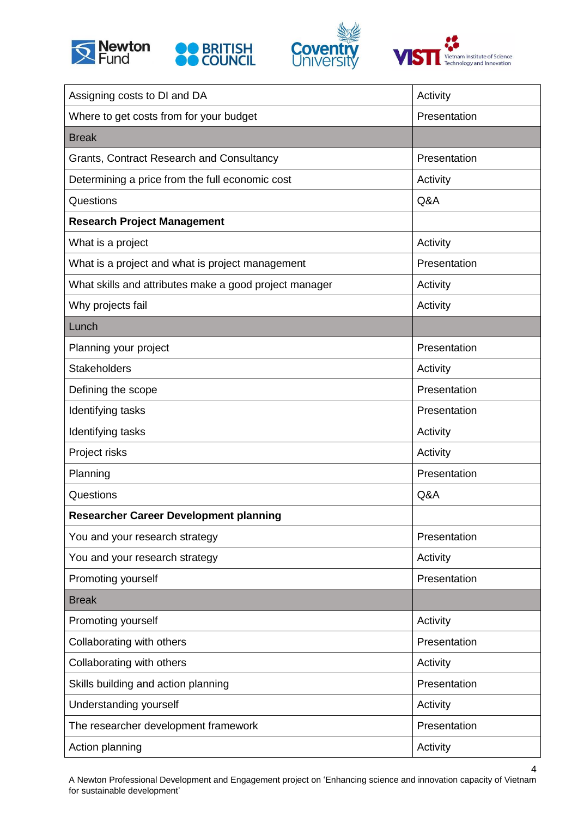<span id="page-3-0"></span>







| Assigning costs to DI and DA                           | Activity     |
|--------------------------------------------------------|--------------|
| Where to get costs from for your budget                | Presentation |
| <b>Break</b>                                           |              |
| Grants, Contract Research and Consultancy              | Presentation |
| Determining a price from the full economic cost        | Activity     |
| Questions                                              | Q&A          |
| <b>Research Project Management</b>                     |              |
| What is a project                                      | Activity     |
| What is a project and what is project management       | Presentation |
| What skills and attributes make a good project manager | Activity     |
| Why projects fail                                      | Activity     |
| Lunch                                                  |              |
| Planning your project                                  | Presentation |
| <b>Stakeholders</b>                                    | Activity     |
| Defining the scope                                     | Presentation |
| Identifying tasks                                      | Presentation |
| Identifying tasks                                      | Activity     |
| Project risks                                          | Activity     |
| Planning                                               | Presentation |
| Questions                                              | Q&A          |
| <b>Researcher Career Development planning</b>          |              |
| You and your research strategy                         | Presentation |
| You and your research strategy                         | Activity     |
| Promoting yourself                                     | Presentation |
| <b>Break</b>                                           |              |
| Promoting yourself                                     | Activity     |
| Collaborating with others                              | Presentation |
| Collaborating with others                              | Activity     |
| Skills building and action planning                    | Presentation |
| Understanding yourself                                 | Activity     |
| The researcher development framework                   | Presentation |
| Action planning                                        | Activity     |